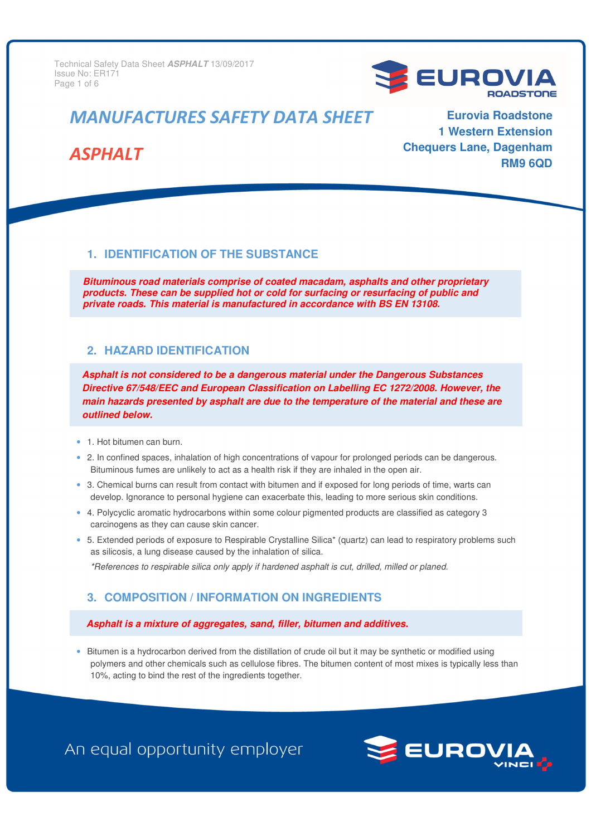**Issue No: ER171**  $\blacksquare$ Technical Safety Data Sheet **ASPHALT** 13/09/2017 Page 1 of 6



# *MANUFACTURES SAFETY DATA SHEET*

# *ASPHALT*

**Eurovia Roadstone 1 Western Extension Chequers Lane, Dagenham RM9 6QD** 

### **1. IDENTIFICATION OF THE SUBSTANCE**

**Bituminous road materials comprise of coated macadam, asphalts and other proprietary products. These can be supplied hot or cold for surfacing or resurfacing of public and private roads. This material is manufactured in accordance with BS EN 13108.** 

#### **2. HAZARD IDENTIFICATION**

**Asphalt is not considered to be a dangerous material under the Dangerous Substances Directive 67/548/EEC and European Classification on Labelling EC 1272/2008. However, the main hazards presented by asphalt are due to the temperature of the material and these are outlined below.** 

- 1. Hot bitumen can burn.
- 2. In confined spaces, inhalation of high concentrations of vapour for prolonged periods can be dangerous. Bituminous fumes are unlikely to act as a health risk if they are inhaled in the open air.
- 3. Chemical burns can result from contact with bitumen and if exposed for long periods of time, warts can develop. Ignorance to personal hygiene can exacerbate this, leading to more serious skin conditions.
- 4. Polycyclic aromatic hydrocarbons within some colour pigmented products are classified as category 3 carcinogens as they can cause skin cancer.
- 5. Extended periods of exposure to Respirable Crystalline Silica\* (quartz) can lead to respiratory problems such as silicosis, a lung disease caused by the inhalation of silica.

*\*References to respirable silica only apply if hardened asphalt is cut, drilled, milled or planed.* 

## **3. COMPOSITION / INFORMATION ON INGREDIENTS**

#### **Asphalt is a mixture of aggregates, sand, filler, bitumen and additives.**

• Bitumen is a hydrocarbon derived from the distillation of crude oil but it may be synthetic or modified using polymers and other chemicals such as cellulose fibres. The bitumen content of most mixes is typically less than 10%, acting to bind the rest of the ingredients together.

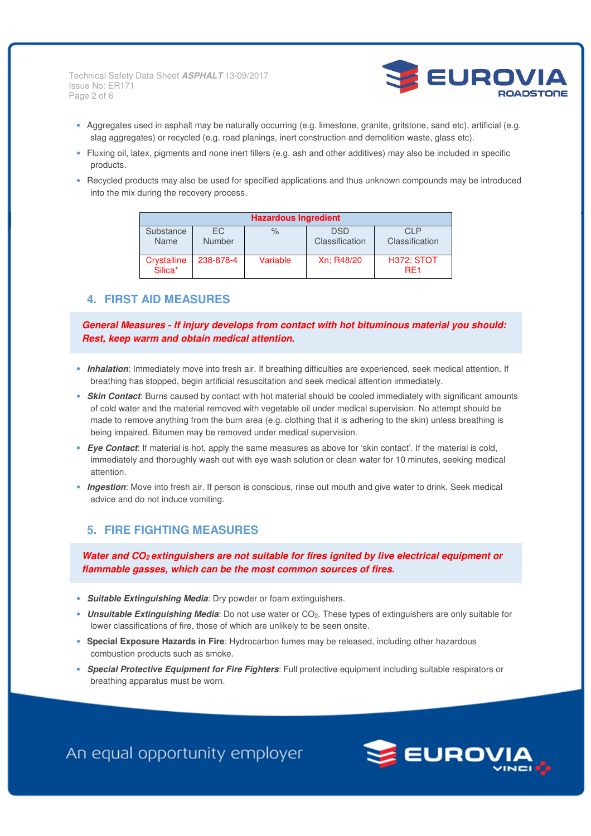Technical Safety Data Sheet **ASPHALT** 13/09/2017 Issue No: ER171 Page 2 of 6



- Aggregates used in asphalt may be naturally occurring (e.g. limestone, granite, gritstone, sand etc), artificial (e.g. slag aggregates) or recycled (e.g. road planings, inert construction and demolition waste, glass etc).
- Fluxing oil, latex, pigments and none inert fillers (e.g. ash and other additives) may also be included in specific products.
- Recycled products may also be used for specified applications and thus unknown compounds may be introduced into the mix during the recovery process.

| <b>Hazardous Ingredient</b> |                      |          |                              |                                      |  |  |  |
|-----------------------------|----------------------|----------|------------------------------|--------------------------------------|--|--|--|
| Substance<br>Name           | FC.<br><b>Number</b> | $\%$     | <b>DSD</b><br>Classification | CI P<br>Classification               |  |  |  |
| Crystalline<br>Silica*      | 238-878-4            | Variable | Xn: R48/20                   | <b>H372; STOT</b><br>RF <sub>1</sub> |  |  |  |

#### **4. FIRST AID MEASURES**

**General Measures - If injury develops from contact with hot bituminous material you should: Rest, keep warm and obtain medical attention.** 

- **Inhalation**: Immediately move into fresh air. If breathing difficulties are experienced, seek medical attention. If breathing has stopped, begin artificial resuscitation and seek medical attention immediately.
- **Skin Contact**: Burns caused by contact with hot material should be cooled immediately with significant amounts of cold water and the material removed with vegetable oil under medical supervision. No attempt should be made to remove anything from the burn area (e.g. clothing that it is adhering to the skin) unless breathing is being impaired. Bitumen may be removed under medical supervision.
- **Eye Contact**: If material is hot, apply the same measures as above for 'skin contact'. If the material is cold, immediately and thoroughly wash out with eye wash solution or clean water for 10 minutes, seeking medical attention.
- **Ingestion**: Move into fresh air. If person is conscious, rinse out mouth and give water to drink. Seek medical advice and do not induce vomiting.

## **5. FIRE FIGHTING MEASURES**

**Water and CO2 extinguishers are not suitable for fires ignited by live electrical equipment or flammable gasses, which can be the most common sources of fires.** 

- **Suitable Extinguishing Media**: Dry powder or foam extinguishers.
- **Unsuitable Extinguishing Media**: Do not use water or CO2. These types of extinguishers are only suitable for lower classifications of fire, those of which are unlikely to be seen onsite.
- **Special Exposure Hazards in Fire**: Hydrocarbon fumes may be released, including other hazardous combustion products such as smoke.
- **Special Protective Equipment for Fire Fighters**: Full protective equipment including suitable respirators or breathing apparatus must be worn.

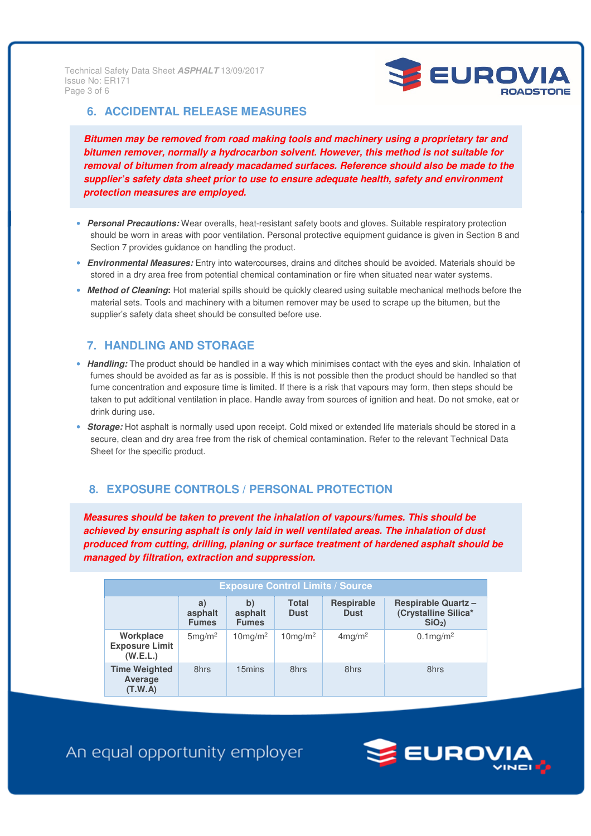I edifilidai Balety I<br>Issue No: ER171 Technical Safety Data Sheet **ASPHALT** 13/09/2017 Page 3 of 6



### **6. ACCIDENTAL RELEASE MEASURES**

**Bitumen may be removed from road making tools and machinery using a proprietary tar and bitumen remover, normally a hydrocarbon solvent. However, this method is not suitable for removal of bitumen from already macadamed surfaces. Reference should also be made to the supplier's safety data sheet prior to use to ensure adequate health, safety and environment protection measures are employed.** 

- **Personal Precautions:** Wear overalls, heat-resistant safety boots and gloves. Suitable respiratory protection should be worn in areas with poor ventilation. Personal protective equipment guidance is given in Section 8 and Section 7 provides guidance on handling the product.
- **Environmental Measures:** Entry into watercourses, drains and ditches should be avoided. Materials should be stored in a dry area free from potential chemical contamination or fire when situated near water systems.
- **Method of Cleaning:** Hot material spills should be quickly cleared using suitable mechanical methods before the material sets. Tools and machinery with a bitumen remover may be used to scrape up the bitumen, but the supplier's safety data sheet should be consulted before use.

# **7. HANDLING AND STORAGE**

- **Handling:** The product should be handled in a way which minimises contact with the eyes and skin. Inhalation of fumes should be avoided as far as is possible. If this is not possible then the product should be handled so that fume concentration and exposure time is limited. If there is a risk that vapours may form, then steps should be taken to put additional ventilation in place. Handle away from sources of ignition and heat. Do not smoke, eat or drink during use.
- **Storage:** Hot asphalt is normally used upon receipt. Cold mixed or extended life materials should be stored in a secure, clean and dry area free from the risk of chemical contamination. Refer to the relevant Technical Data Sheet for the specific product.

# **8. EXPOSURE CONTROLS / PERSONAL PROTECTION**

**Measures should be taken to prevent the inhalation of vapours/fumes. This should be achieved by ensuring asphalt is only laid in well ventilated areas. The inhalation of dust produced from cutting, drilling, planing or surface treatment of hardened asphalt should be managed by filtration, extraction and suppression.** 

| <b>Exposure Control Limits / Source</b>        |                               |                               |                        |                                  |                                                                |  |  |  |
|------------------------------------------------|-------------------------------|-------------------------------|------------------------|----------------------------------|----------------------------------------------------------------|--|--|--|
|                                                | a)<br>asphalt<br><b>Fumes</b> | b)<br>asphalt<br><b>Fumes</b> | Total<br><b>Dust</b>   | <b>Respirable</b><br><b>Dust</b> | <b>Respirable Quartz -</b><br>(Crystalline Silica*<br>$SiO2$ ) |  |  |  |
| Workplace<br><b>Exposure Limit</b><br>(W.E.L.) | 5mg/m <sup>2</sup>            | $10$ mg/m <sup>2</sup>        | $10$ mg/m <sup>2</sup> | $4$ mg/m <sup>2</sup>            | $0.1 \text{mg/m}^2$                                            |  |  |  |
| <b>Time Weighted</b><br>Average<br>(T.W.A)     | 8hrs                          | 15mins                        | 8hrs                   | 8hrs                             | 8hrs                                                           |  |  |  |

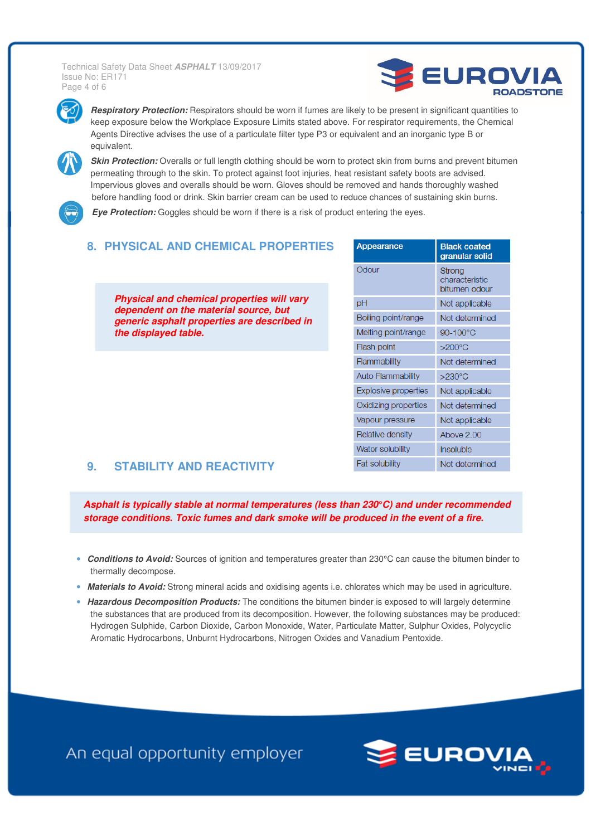Issue No: ER171 Technical Safety Data Sheet **ASPHALT** 13/09/2017 Page 4 of 6





**Respiratory Protection:** Respirators should be worn if fumes are likely to be present in significant quantities to keep exposure below the Workplace Exposure Limits stated above. For respirator requirements, the Chemical Agents Directive advises the use of a particulate filter type P3 or equivalent and an inorganic type B or equivalent.



**Skin Protection:** Overalls or full length clothing should be worn to protect skin from burns and prevent bitumen permeating through to the skin. To protect against foot injuries, heat resistant safety boots are advised. Impervious gloves and overalls should be worn. Gloves should be removed and hands thoroughly washed before handling food or drink. Skin barrier cream can be used to reduce chances of sustaining skin burns.

**Eye Protection:** Goggles should be worn if there is a risk of product entering the eyes.

## **8. PHYSICAL AND CHEMICAL PROPERTIES**

**Physical and chemical properties will vary dependent on the material source, but generic asphalt properties are described in the displayed table.** 

| Appearance                  | <b>Black coated</b><br>granular solid     |  |  |
|-----------------------------|-------------------------------------------|--|--|
| Odour                       | Strong<br>characteristic<br>bitumen odour |  |  |
| рH                          | Not applicable                            |  |  |
| Boiling point/range         | Not determined                            |  |  |
| Melting point/range         | 90-100°C                                  |  |  |
| Flash point                 | $>200^{\circ}$ C                          |  |  |
| Flammability                | Not determined                            |  |  |
| <b>Auto Flammability</b>    | $>230^{\circ}$ C                          |  |  |
| <b>Explosive properties</b> | Not applicable                            |  |  |
| Oxidizing properties        | Not determined                            |  |  |
| Vapour pressure             | Not applicable                            |  |  |
| Relative density            | Above 2.00                                |  |  |
| <b>Water solubility</b>     | Insoluble                                 |  |  |
| <b>Fat solubility</b>       | Not determined                            |  |  |

#### **9. STABILITY AND REACTIVITY**

**Asphalt is typically stable at normal temperatures (less than 230°C) and under recommended storage conditions. Toxic fumes and dark smoke will be produced in the event of a fire.** 

- **Conditions to Avoid:** Sources of ignition and temperatures greater than 230°C can cause the bitumen binder to thermally decompose.
- **Materials to Avoid:** Strong mineral acids and oxidising agents i.e. chlorates which may be used in agriculture.
- **Hazardous Decomposition Products:** The conditions the bitumen binder is exposed to will largely determine the substances that are produced from its decomposition. However, the following substances may be produced: Hydrogen Sulphide, Carbon Dioxide, Carbon Monoxide, Water, Particulate Matter, Sulphur Oxides, Polycyclic Aromatic Hydrocarbons, Unburnt Hydrocarbons, Nitrogen Oxides and Vanadium Pentoxide.

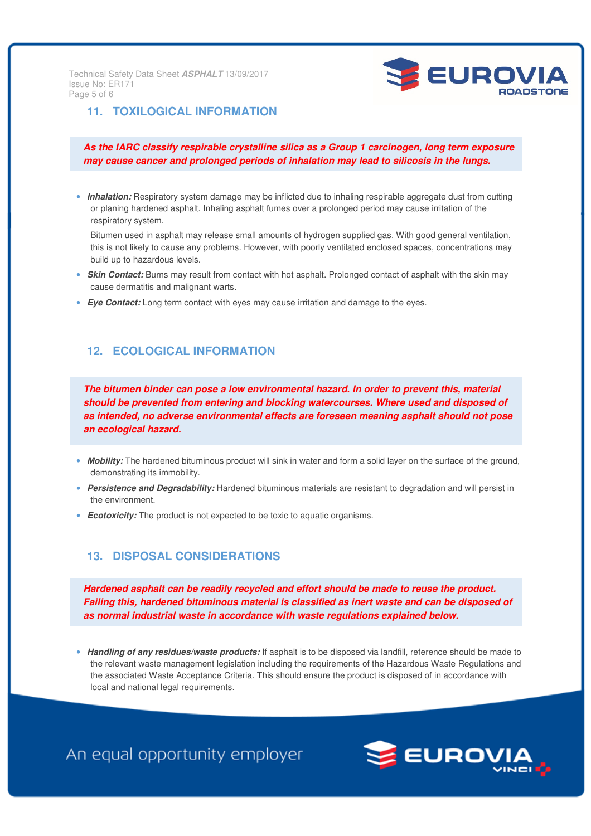Au Technical Safety Data Sheet **ASPHALT** 13/09/2017 Issue No: ER171 Page 5 of 6



## **11. TOXILOGICAL INFORMATION**

**As the IARC classify respirable crystalline silica as a Group 1 carcinogen, long term exposure may cause cancer and prolonged periods of inhalation may lead to silicosis in the lungs.** 

• **Inhalation:** Respiratory system damage may be inflicted due to inhaling respirable aggregate dust from cutting or planing hardened asphalt. Inhaling asphalt fumes over a prolonged period may cause irritation of the respiratory system.

Bitumen used in asphalt may release small amounts of hydrogen supplied gas. With good general ventilation, this is not likely to cause any problems. However, with poorly ventilated enclosed spaces, concentrations may build up to hazardous levels.

- **Skin Contact:** Burns may result from contact with hot asphalt. Prolonged contact of asphalt with the skin may cause dermatitis and malignant warts.
- **Eye Contact:** Long term contact with eyes may cause irritation and damage to the eyes.

### **12. ECOLOGICAL INFORMATION**

**The bitumen binder can pose a low environmental hazard. In order to prevent this, material should be prevented from entering and blocking watercourses. Where used and disposed of as intended, no adverse environmental effects are foreseen meaning asphalt should not pose an ecological hazard.** 

- Mobility: The hardened bituminous product will sink in water and form a solid layer on the surface of the ground, demonstrating its immobility.
- **Persistence and Degradability:** Hardened bituminous materials are resistant to degradation and will persist in the environment.
- **Ecotoxicity:** The product is not expected to be toxic to aquatic organisms.

### **13. DISPOSAL CONSIDERATIONS**

**Hardened asphalt can be readily recycled and effort should be made to reuse the product. Failing this, hardened bituminous material is classified as inert waste and can be disposed of as normal industrial waste in accordance with waste regulations explained below.** 

• **Handling of any residues/waste products:** If asphalt is to be disposed via landfill, reference should be made to the relevant waste management legislation including the requirements of the Hazardous Waste Regulations and the associated Waste Acceptance Criteria. This should ensure the product is disposed of in accordance with local and national legal requirements.